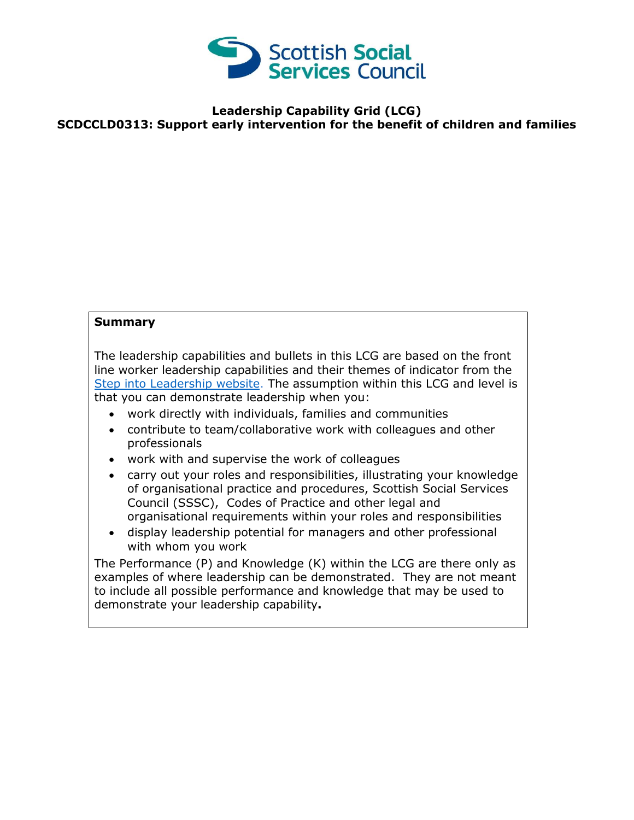

# **Leadership Capability Grid (LCG) SCDCCLD0313: Support early intervention for the benefit of children and families**

## **Summary**

The leadership capabilities and bullets in this LCG are based on the front line worker leadership capabilities and their themes of indicator from the [Step into Leadership website.](http://www.stepintoleadership.info/) The assumption within this LCG and level is that you can demonstrate leadership when you:

- work directly with individuals, families and communities
- contribute to team/collaborative work with colleagues and other professionals
- work with and supervise the work of colleagues
- carry out your roles and responsibilities, illustrating your knowledge of organisational practice and procedures, Scottish Social Services Council (SSSC), Codes of Practice and other legal and organisational requirements within your roles and responsibilities
- display leadership potential for managers and other professional with whom you work

The Performance (P) and Knowledge (K) within the LCG are there only as examples of where leadership can be demonstrated. They are not meant to include all possible performance and knowledge that may be used to demonstrate your leadership capability**.**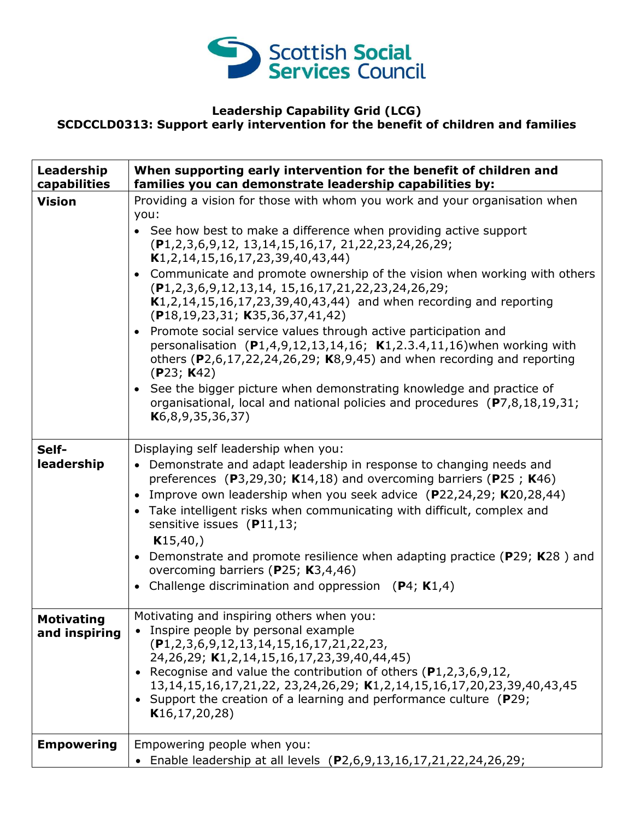

#### **Leadership Capability Grid (LCG) SCDCCLD0313: Support early intervention for the benefit of children and families**

| Leadership<br>capabilities         | When supporting early intervention for the benefit of children and<br>families you can demonstrate leadership capabilities by:                                                                                                                                                                                                                                                                                                                                                                                                                                                                                                                                                                                                                                                                                                                                                                                                                                                    |
|------------------------------------|-----------------------------------------------------------------------------------------------------------------------------------------------------------------------------------------------------------------------------------------------------------------------------------------------------------------------------------------------------------------------------------------------------------------------------------------------------------------------------------------------------------------------------------------------------------------------------------------------------------------------------------------------------------------------------------------------------------------------------------------------------------------------------------------------------------------------------------------------------------------------------------------------------------------------------------------------------------------------------------|
| <b>Vision</b>                      | Providing a vision for those with whom you work and your organisation when<br>you:<br>• See how best to make a difference when providing active support<br>(P1,2,3,6,9,12, 13,14,15,16,17, 21,22,23,24,26,29;<br>$K1, 2, 14, 15, 16, 17, 23, 39, 40, 43, 44)$<br>• Communicate and promote ownership of the vision when working with others<br>$(P1, 2, 3, 6, 9, 12, 13, 14, 15, 16, 17, 21, 22, 23, 24, 26, 29;$<br>$K1, 2, 14, 15, 16, 17, 23, 39, 40, 43, 44$ and when recording and reporting<br>$(P18, 19, 23, 31; K35, 36, 37, 41, 42)$<br>• Promote social service values through active participation and<br>personalisation $(P1, 4, 9, 12, 13, 14, 16; K1, 2.3.4, 11, 16)$ when working with<br>others ( $P2,6,17,22,24,26,29$ ; K8,9,45) and when recording and reporting<br>(P23; K42)<br>• See the bigger picture when demonstrating knowledge and practice of<br>organisational, local and national policies and procedures (P7,8,18,19,31;<br>K6, 8, 9, 35, 36, 37 |
| Self-<br>leadership                | Displaying self leadership when you:<br>• Demonstrate and adapt leadership in response to changing needs and<br>preferences (P3,29,30; K14,18) and overcoming barriers (P25; K46)<br>• Improve own leadership when you seek advice (P22,24,29; K20,28,44)<br>• Take intelligent risks when communicating with difficult, complex and<br>sensitive issues (P11,13;<br>K15,40,<br>• Demonstrate and promote resilience when adapting practice (P29; K28) and<br>overcoming barriers (P25; K3,4,46)<br>• Challenge discrimination and oppression $(P4; K1,4)$                                                                                                                                                                                                                                                                                                                                                                                                                        |
| <b>Motivating</b><br>and inspiring | Motivating and inspiring others when you:<br>• Inspire people by personal example<br>$(P1, 2, 3, 6, 9, 12, 13, 14, 15, 16, 17, 21, 22, 23,$<br>24, 26, 29; K1, 2, 14, 15, 16, 17, 23, 39, 40, 44, 45)<br>• Recognise and value the contribution of others $(P1,2,3,6,9,12,$<br>13, 14, 15, 16, 17, 21, 22, 23, 24, 26, 29; K1, 2, 14, 15, 16, 17, 20, 23, 39, 40, 43, 45<br>• Support the creation of a learning and performance culture (P29;<br>K16, 17, 20, 28)                                                                                                                                                                                                                                                                                                                                                                                                                                                                                                                |
| <b>Empowering</b>                  | Empowering people when you:<br>• Enable leadership at all levels (P2,6,9,13,16,17,21,22,24,26,29;                                                                                                                                                                                                                                                                                                                                                                                                                                                                                                                                                                                                                                                                                                                                                                                                                                                                                 |